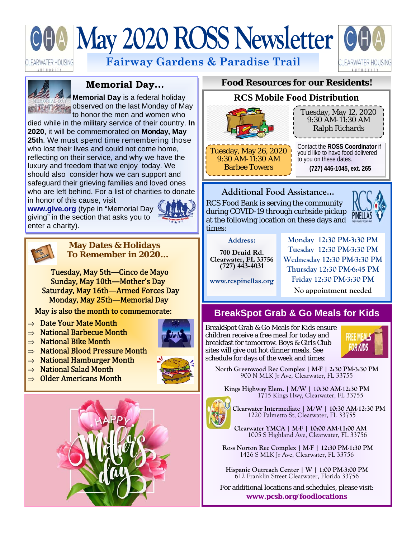# May 2020 ROSS Newsletter Of

:LEARWATER HOUSING UTHORITY

**Fairway Gardens & Paradise Trail** 





#### **Memorial Day...**

**Memorial Day** is a federal holiday  $\mathbf{u}$  is the last Monday of May to honor the men and women who

died while in the military service of their country. **In 2020**, it will be commemorated on **Monday, May 25th**. We must spend time remembering those who lost their lives and could not come home, reflecting on their service, and why we have the luxury and freedom that we enjoy today. We should also consider how we can support and safeguard their grieving families and loved ones who are left behind. For a list of charities to donate in honor of this cause, visit

**www.give.org** (type in "Memorial Day giving" in the section that asks you to enter a charity).





#### **May Dates & Holidays To Remember in 2020…**

Tuesday, May 5th—Cinco de Mayo Sunday, May 10th—Mother's Day Saturday, May 16th—Armed Forces Day Monday, May 25th—Memorial Day

May is also the month to commemorate:

- $\Rightarrow$  Date Your Mate Month
- $\Rightarrow$  National Barbecue Month
- $\Rightarrow$  National Bike Month
- $\Rightarrow$  National Blood Pressure Month
- $\Rightarrow$  National Hamburger Month
- $\Rightarrow$  National Salad Month
- $\Rightarrow$  Older Americans Month



#### **Food Resources for our Residents!**



#### **Additional Food Assistance...**

RCS Food Bank is serving the community during COVID-19 through curbside pickup at the following location on these days and times:



**Address:** 

**700 Druid Rd. Clearwater, FL 33756 (727) 443-4031** 

**Monday 12:30 PM-3:30 PM Tuesday 12:30 PM-3:30 PM Wednesday 12:30 PM-3:30 PM Thursday 12:30 PM-6:45 PM Friday 12:30 PM-3:30 PM** 

**www.rcspinellas.org**

**No appointment needed** 

## **BreakSpot Grab & Go Meals for Kids**

BreakSpot Grab & Go Meals for Kids ensure children receive a free meal for today and breakfast for tomorrow. Boys & Girls Club sites will give out hot dinner meals. See schedule for days of the week and times:



**North Greenwood Rec Complex | M-F | 2:30 PM-3:30 PM** 900 N MLK Jr Ave, Clearwater, FL 33755

**Kings Highway Elem. | M/W | 10:30 AM-12:30 PM** 1715 Kings Hwy, Clearwater, FL 33755



**Clearwater Intermediate | M/W | 10:30 AM-12:30 PM** 1220 Palmetto St, Clearwater, FL 33755

**Clearwater YMCA | M-F | 10:00 AM-11:00 AM** 1005 S Highland Ave, Clearwater, FL 33756

**Ross Norton Rec Complex | M-F | 12:30 PM-1:30 PM** 1426 S MLK Jr Ave, Clearwater, FL 33756

**Hispanic Outreach Center | W | 1:00 PM-3:00 PM** 612 Franklin Street Clearwater, Florida 33756

For additional locations and schedules, please visit: **www.pcsb.org/foodlocations**